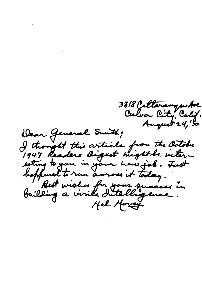3318 Catterangustve.<br>Culver City, Calif. August 24, 5 Dear General Sunth; I thought this article from the October 1947 Readers digest might be inter-<br>esting to you in your hew job. Fust<br>hefthered to run asross it today.<br>Building a virile Intelligence.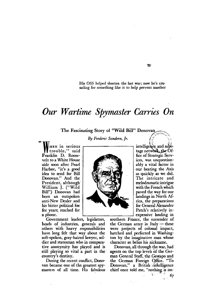His OSS helped shorten the last war; now he's crusading for something like it to help prevent another

## Our Wartime Spymaster Carries On

The Fascinating Story of "Wild Bill" Donovan

By Frederic Sondern, Jr.

HEN in serious trouble." said Franklin D. Roosevelt to a White House aide soon after Pearl Harbor, "it's a good idea to send for Bill Donovan." And the President, although William J. ("Wild Bill") Donovan had been an outspoken anti-New Dealer and his bitter political foe for years, reached for a phone.

Government leaders, legislators, heads of industries, generals and others with heavy responsibilities have long felt that way about the soft-spoken, gray-haired lawyer, soldier and statesman who in comparative anonymity has played and is still playing so vital a part in the country's destiny.

During the recent conflict, Donovan became one of the greatest spymasters of all time. His fabulous

intelligence and sabotage network, the Office of Strategic Services, was unquestionably a vital factor in our beating the Axis as quickly as we did. The intricate and melodramatic intrigue with the French which paved the way for our landings in North Africa, the preparations for General Alexander Patch's relatively inexpensive landing in

SS.

southern France, the surrender of the German army in Italy  $-$  these were projects of colossal impact, hatched and perfected in Washington by the imaginative man whose character so belies his nickname.

Donovan, all through the war, had agents on the top levels of the German General Staff, the Gestapo and the German Foreign Office. "To Donovan," a British intelligence chief once told me, "nothing is im-

67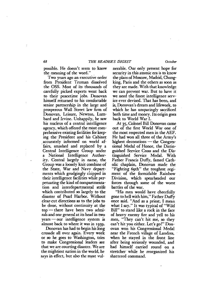## 68 *THE READER'S DIGEST October*

possible. He doesn't seem to know the meaning of the word."

Two years ago an executive order from President Truman dissolved the OSS. Most of its thousands of carefully picked experts went back to their· peacetime jobs. Donovan himself returned to his comfortable senior partnership in the large and prosperous Wall Street Jaw firm of Donovan, Leisure, Newton, Lumbard and Irvine. Unhappily, he saw his nucleus of a central intelligence agency, which offered the most comprehensive existing facilities for keeping the· President and his Cabinet . accurately informed on world affairs, smashed and repJaced by a Central Intelligence Group under a National Intelligence Authority. Central largely in name, the Group was a loosely knit combine of the State, War and Navy departments which grudgingly chipped in their intelligence facilities while perpetuating the kind of compartmentation and interdepartmental strife which contributed so largely to the disaster of Pearl Harbor. Without clear-cut directions as to the jobs to be done, without continuity at the  $top$  there have been two admirals and one general at its head in two  $years - our$  intelligence system is almost back to where it was in 1939.

Donovan has had to begin his long crusade all over again. Every week or so he goes to Washington, tries to make Congressional leaders see that we are courting disaster. We are the mightiest nation in the world, he says in effect, but also the most vulnerable. Our only present hope for security in this atomic era is to know the plans of Moscow, Madrid, Chungking, Paris and the others as soon as they are made. With that knowledge we can prevent war. But to have it we need the finest intelligence service ever devised. That has been, and is, Donovan's dream and lifework, to which he has unsparingly sacrificed both time and money. Its origin goes back to World War 1.

At 35, Colonel Bill Donovan came out of the first World War one of the most respected men in the AEF. He had won all three of the Armv's highest decorations  $-$  the Congressional Medal of Honor, the Distinguished Service Cross and the Distinguished Service MedaL With Father Francis Duffy, famed Catholic chapJain, Donovan made the "Fighting 69th" the toughest regiment of the formidable Rainbow Division, which spearheaded our forces through some of the worst battles of the war.

"His men would have cheerfully gone to hell with him," Father Duffy once said. "And as a priest; I mean what I say." It was typical of "Wild Bill" to stand like a rock in the face of heavy enemy fire and yell to his men, "They can't hit me, so they can't hit you either. Let's go!" Donovan won his Congressional Medal near the French village of Landres, when he stayed in the front line after being seriously wounded, and had himself carried round on a stretcher while he reorganized his shattered command.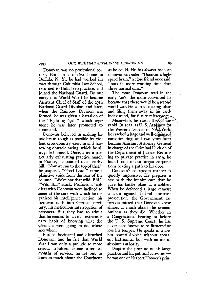## *1947 OUR WARTIME SPYMASTER CARRIES ON*

Donovan was no professional soldier. Born in a modest home in Buffalo, N. Y., he had worked his way through Columbia Law School, returned to Buffalo to practice, and joined the National Guard. On our entry into World War I he became Assistant Chief of Staff of the 27th National Guard Division, and later, when the Rainbow Division was formed, he was given a battalion of the "Fighting 69th," which regiment he was later promoted to command.

Donovan believed in making his soldiers as tough as possible by violent cross-country exercise and harrowing obstacle racing, which he always led himself. Once, after a particularly exhausting practice march in France, he pointed to a nearby hill. "Now we run to the top of that," he snapped. "Good Lord," came a plaintive voice from the rear of the column. "We're not that wild, Bill." "Wild Bill" stuck. Professional soldiers with Donovan were inclined to sneer at the care with which he organized his intelligence section, his frequent raids into German territory, his meticulous interrogation of prisoners. But they had to admit that he seemed to have an extraordinary habit of knowing what the Germans were going to do, where and when.

Europe fascinated and disturbed Donovan, and, he felt that World War I was only a prelude to more serious troubles. Home after 21 months of service, he set out to learn as much about the Continent

as he could. He has always been an omnivorous reader. "Donovan's highspeed brain," a close friend once said, "puts in more working time than three normal ones."

The more Donovan read in the early '20'S, the more convinced he became that there would be a second world war. He started making plans and filing them away in his cardindex mind, for future reference.

Meanwhile, his rise at the Car was ...<br>rapid. In 1922, as U. S. Attorney for the Western District of New York, he cracked a large and well-organized narcotics ring, and two years later became Assistant Attorney General in charge of the Criminal Division of the Department of Justice. Return ing to private practice in 1929. he found some of our largest corporatioos beating a path to his door.

Donovan's courtroom manner is quietly, impressive. He prepares a case with the infinite care that he gave his battle plans as a soldier. When he defended a large cement concern against federal antitrust prosecution, the Government experts admitted that Donovan knew almost as much about the cement business as they did. Whether in' a Congressional hearing or before the U. S. Supreme Court, he has never been known to be flustered or lose his temper. He speaks in a low but powerful voice, without apparent histrionics, but with an air of absolute authority.

Despite the pressure of his large practice and his political activities  $$ he was one of Herbert Hoover's prin-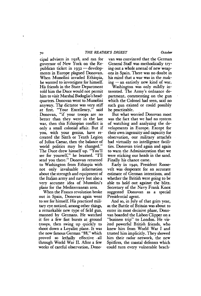cipal advisers in 1928, and ran for ,governor of New York on the Republican ticket in  $1932 -$  developments in Europe plagued Donovan. When Mussolini invaded Ethiopia, he wanted to investigate for himself. His friends in the State Department told him the Duce would not permit him to visit Marshal Badoglio's headquarters. Donovan went to Mussolini anyway. The dictator was very stiff at first. "Your Excellency," said Donovan, "if your troops are no better than they were in the last war, then this Ethiopian conflict is only a small colonial affair. But if you, with your genius, have re-<br>created the Sixth or Tenth Legion of Julius Caesar, then the balance of world politics may be changed." The Duce drew himself up. "You'll see for vourself," he beamed. "I'll send you there." Donovan returned to Washington from Ethiopia with not only invaluable information about tbe strength and equipment of the Italian army and navy but also a very accurate idea of Mussolini's plans for the Mediterranean area.

When the Franco revolution broke out in Spain, Donovan again went to see for himself. His practiced military eye noticed, among other things, a remarkable new type of field gun, manned by Germans. He watched it fire a few fast bursts at ground . troops, then swing up quickly to shoot down a Loyalist plane. It was the now famous German "88," which proved so lethally effective. all through World War II. After a few weeks of careful observation, Dono-

van was convinced that the German General Staff was methodically trying out a whole arsenal of new weap -ons in Spain. There was no doubt in his mind that a War was in the mak $ing - an$  entirely new kind of war.

Washington was only mildly interested. The Army's ordnance department, commenting on the gun which the Colonel had seen, said no such gun existed or could possibly be practicable.

But what worried Donovan most was the fact that we had no system of watching and analyzing the developments in Europe. Except for their own ingenuity and capacity for observation, our military attachés had virtually no intelligence facilities. Donovan tried again and again to warn the Administration that we were sticking our heads in the sand. Finally his chance came.

Early in 1940, President Roosevelt was desperate for an accurate estimate of German intentions, and whether the British were going to be able to hold out against the blitz. Secretary of the Navy Frank Knox suggested Donovan as a special Presidential agent.

And so, in July of that grim year, as the Battle of Britain was about to enter its most decisive phase, Donovan boarded the Lisbon Clipper on a "business trip" to London. He visited powerful British friends, who knew him from World War I and trusted him implicitly. They showed him their radar network, the new Spitfires, the coastal defenses which could turn every vulnerable beach-

J.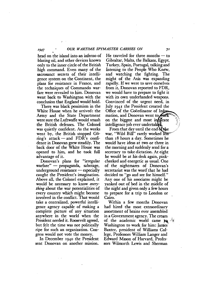head on the island into an inferno of blazing oil, and other devices known only to the inner circle of the British high command. Even many of the sacrosanct secrets of their intelligence system on the Continent, the plans for resistance in France, and the techniques of Commando warfare were revealed to him. Donovan went back to Washington with the conclusion that England would hold.

There was black pessimism in the White House when he arrived: the Army and the State Department were sure the Luftwaffe would smash the British defenses. The Colonel was quietly confident. As the weeks went by, the British stopped Göring's attack  $-$  and FDR's confidence in Donovan grew steadily. The back door of the White House was opened to him, and he took full advantage of it.

Donovan's plans for "irregular  $\text{warfare}$ " — propaganda, sabotage, underground resistance  $-$  especially caught the President's imagination. Above all, the Colonel explained, it would be necessary to know *everything* about the war potentialities of every country which might become involved in the conflict. That would take a centralized, powerful intelligence agency capable of making a complete picture of any situation anywhere in the world when the President needed it. Roosevelt agreed, but felt the time was not politically ripe for such an organization. Congress would not vote the money.

In December 1940 the President sent Donovan on another mission.

He traveled for three months  $-$  to Gibraltar, Malta, the Balkans, Egypt, Turkey, Spain, Portugal. talking and listening to the People Who Knew, and watching the fighting. The might of the Axis was expanding rapidly. If we were to save ourselves from it, Donovan reported to FDR, we would have to prepare to fight it with its own underhanded weapons. Convinced of the urgent need, in July 1941 the President created the Office of the Coordinator of Information, and Donovan went to **work** on the biggest and most in **B**eate intelligence job ever undertaken.

From that day until the end  $\delta$  the war, "Wild Bill" rarely worked than 18 hours a day. Sometimes he would have ideas at two or three in the morning and suddenly send for a secretary to take dictation. At eight he would be at his desk again, pinkcheeked and energetic as usual. One of the. nightmares of Donovan's secretariat was the word' that he had decided to "go and see for himself." Anyone of his associates might be yanked out of bed in the middle of the night' and given only a few hours to prepare for a *trip* to London or Cairo.

Within a few months Donovan had hired the most extraordinary assortment of brains ever assembled in a Government agency. The cream of the academic world came  $\mathbf{r}_0$ Washington to work for him: James Baxter, president of Williams College, Professors William Langer and Edward Mason of Harvard, Professors Wilmarth Lewis and Sherman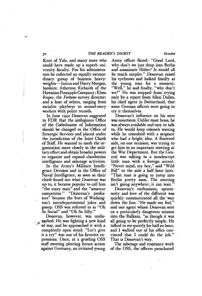Kent of Yale, and many more who could have made up a superb university faculty. For his administrators he collected an equally extraordinary group of business heavyweights-Junius and Harry Morgan, bankers; Atherton Richards of the Hawaiian Pineapple Company; Elmo Roper, the *Fortune* survey director; and a host of others, ranging from socialite playboys to second-story workers with police records.

In June 1942 Donovan suggested to FDR that the ambiguous Office of the COOrdinator of Information should be changed to the Office of Strategic Services and placed under. the jurisdiction of the Joint Chiefs of Staff. He wanted to mesh the organization more closely in the military effort and obtain broader powers to organize and expand clandestine intelligence and sabotage activities.

In the Army's Military Intelligence Division and in the Office of Naval Intelligence, as soon as their chiefs found out what Donovan was up to, it became popular to call him "the crazy man" and the "amateur competitor." "Donovan's professors" became the butt of Washington's interdepartmental jokes and gossip. OSS was referred to as "Oh So Social" and "Oh So Silly."

Donovan, however, was undis turbed. He was fighting a new kind<br>of war, and he approached it with a completely open mind. "Let's give it a try" was one of his favorite expressions. Once, at a grueling OSS staff meeting plotting future action against Germany, an irritated young

Army officer flared: "Good Lord. why don't we just drop into Berlin and assassinate Hitler? It would all be much simpler." Donovan raised his eyebrows and looked fixedly at the young man for a moment. "Well," he said finally, "why don't we?" He was stopped from trying only by a report from Allen Dulles. his chief agent in Switzerland, that some German officers were going to try it themselves.

Donovan's influence on his men was enormous. Unlike most brass, he was always available and easy to talk to. He would keep colonels waiting while he consulted with a sergeant who had a bright idea. A flustered aide, on one occasion, was trying to get him to an important meeting at the War Department. But the General was talking to a nondescript little man with a foreign accent. "Never mind, my boy," said "Wild Bill" to the aide a half hour later. "That man is going to jump into Berlin pretty soon. The meeting isn't going anywhere; it can wait."

Donovan's enthusiasm, spontaneity and love of the different was quickly communicated all the way down the line. "He made me fed," said one agent whom Donovan sent on a particularly dangerous mission into the Balkans, "as though it was all going to be perfectly simple. He talked to me quietly for half an hour, and I walked out of his office convinced that I could do the job." That is Donovan's way.

The sabotage and resistance work of the OSS, the· officers parachuted

 $7<sup>2</sup>$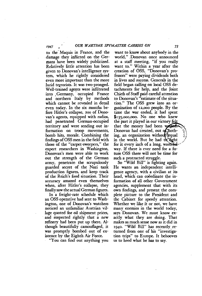to the' Maquis in France, and the damage they inflicted on the Ger mans have been widely publicized. Relatively little attention has been given to Donovan's intelligence system, which he rightly considered even more important than the more lurid terrorists. It was two-pronged. Well-trained agents were infiltrated into Germany, occupied France and northern Italy by methods which cannot be revealed in detail even today. In the six months before Hitler's collapse, 200 of Donovan's agents, equipped with radios, had penetrated German-occupied territory and were sending out information on troop movements, bomb hits, morale. Combining the findings of OSS men in the field with those of the "carpet-sweepers," the expert researchers in Washington, Donovan's men were able to work out the strength of the German army, penetrate· the scrupulously guarded secret of the Nazi tank production figures, and keep track of the Reich's food situation. Their accuracy amazed even themselves when, after Hitler's collapse, they finally saw the actual German figures.

In a freight-rate schedule which an OSS operative had sent to Washington, one of Donovan's watchers noticed an unfamiliar Austrian village quoted for oil shipment prices, and suspected rightly that a new refinery had been put up there. Although beautifully camouflaged, it was promptly bombed out of existence by the Eighth Air Force.

"You can find out anything you

want to know about anybody in the world," ,Donovan once announced at a staff meeting, "if you really want to." Within a year after the creation of OSS, "Donovan's professors" were paying dividends both in lives and success. Generals in the field began calling on local OSS detachments for help, and the Joint Chiefs of Staff paid careful attention to Donovan's "estimate of the situation." The OSS grew into an organization of 12,000 people. By the time the war ended, it had spent \$135,000,000. No one who knew the part it played in our victory fe that the money had been was Donovan had created, out of fiothing, an organization without  $\frac{1}{2}$  equal in the world. But he had to fight for it every inch of a long, waster  $\mathbf{Q}$ way. If there is ever need for a future OSS there will not be time for such a protracted struggle.

So "Wild Bill" is fighting again. He wants an independent intelligence agency, with a civilian at its head, which can coordinate the information of all other Government agencies, supplement that with its own findings, and present the complete picture to the President and the Cabinet for speedy attention. Whether we like it or not, we have many enemies in the world today, says Donovan. We must know exactly what they are doing. That makes as much sense now as it did in 1940. "Wild Bill" has recently. returned from one of his "investigation trips" to Europe. It behooves us to heed what he has to say.